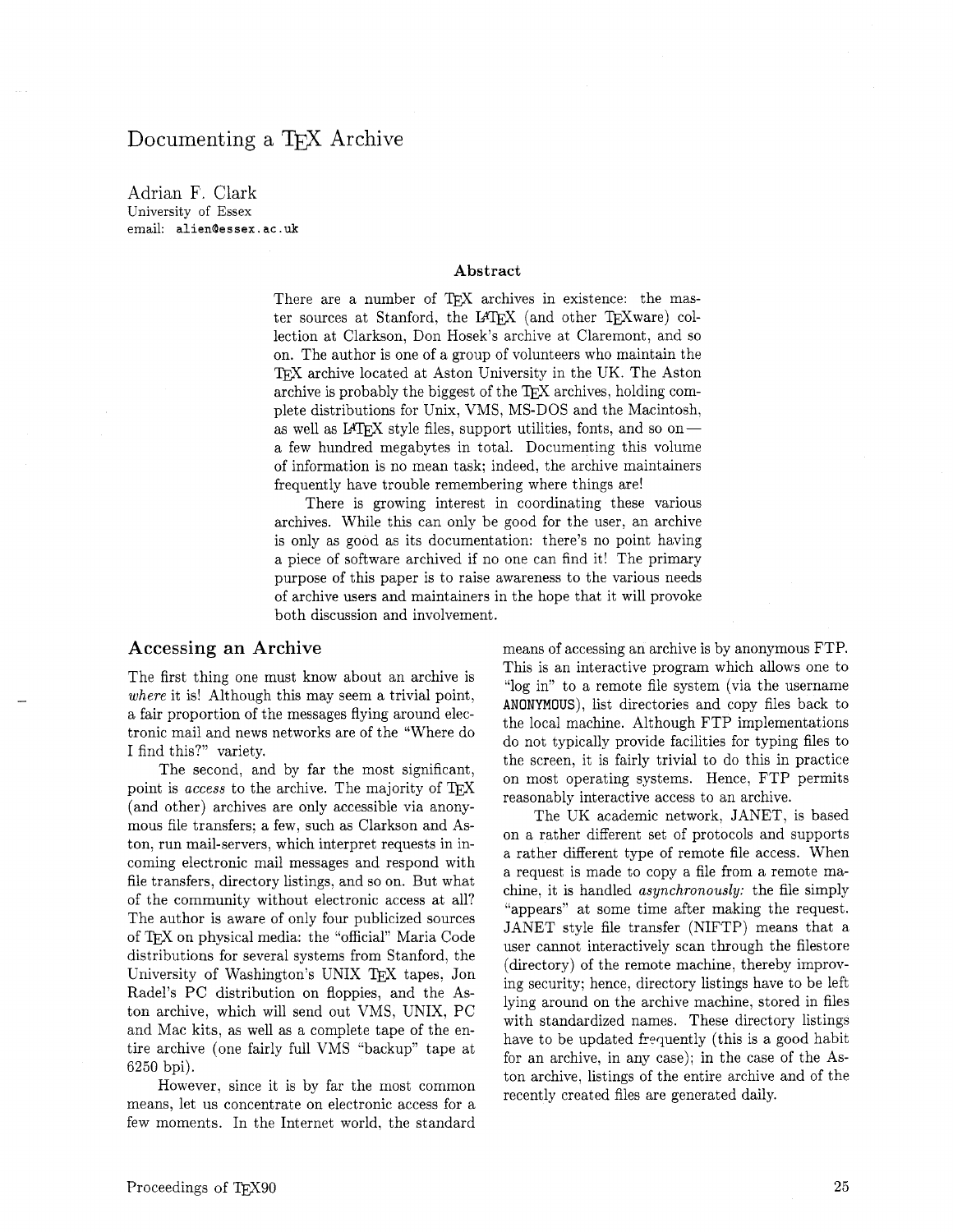# Documenting a TFX Archive

Adrian F. Clark University of Essex email: **alienaessex. ac .uk** 

#### **Abstract**

There are a number of TEX archives in existence: the master sources at Stanford, the IATEX (and other TEXware) collection at Clarkson, Don Hosek's archive at Claremont, and so on. The author is one of a group of volunteers who maintain the T<sub>F</sub>X archive located at Aston University in the UK. The Aston archive is probably the biggest of the  $T<sub>E</sub>X$  archives, holding complete distributions for Unix, VMS, MS-DOS and the Macintosh, as well as IATEX style files, support utilities, fonts, and so ona few hundred megabytes in total. Documenting this volume of information is no mean task; indeed, the archive maintainers frequently have trouble remembering where things are!

There is growing interest in coordinating these various archives. While this can only be good for the user, an archive is only as good as its documentation: there's no point having a piece of software archived if no one can find it! The primary purpose of this paper is to raise awareness to the various needs of archive users and maintainers in the hope that it will provoke both discussion and involvement,.

### **Accessing an Archive**

The first thing one must know about an archive is *where* it is! Although this may seem a trivial point, a fair proportion of the messages flying around electronic mail and news networks are of the "Where do I find this?" variety.

The second, and by far the most significant, point is *access* to the archive. The majority of TEX (and other) archives are only accessible via anonymous file transfers; a few, such as Clarkson and Aston, run mail-servers, which interpret requests in incoming electronic mail messages and respond with file transfers, directory listings, and so on. But what of the community without electronic access at all? The author is aware of only four publicized sources of TFX on physical media: the "official" Maria Code distributions for several systems from Stanford, the University of Washington's UNIX tapes, Jon Radel's PC distribution on floppies, and the Aston archive, which will send out VMS, UNIX, PC and Mac kits, as well as a complete tape of the entire archive (one fairly full VMS "backup" tape at 6250 bpi).

However, since it is by far the most common means, let us concentrate on electronic access for a few moments. In the Internet world, the standard means of accessing an archive is by anonymous FTP. This is an interactive program which allows one to "log in" to a remote file system (via the username ANONYMOUS), list directories and copy files back to the local machine. Although FTP implementations do not typically provide facilities for typing files to the screen, it is fairly trivial to do this in practice on most operating systems. Hence, FTP permits reasonably interactive access to an archive.

The UK academic network, JANET, is based on a rather different set of protocols and supports a rather different type of remote file access. When a request is made to copy a file from a remote machine. it is handled *asynchronously:* the file simply "appears" at some time after making the request. JANET style file transfer (NIFTP) means that a user cannot interactively scan through the filestore (directory) of the remote machine, thereby improving security; hence, directory listings have to be left lying around on the archive machine, stored in files with standardized names. These directory listings have to be updated frequently (this is a good habit for an archive, in any case); in the case of the Aston archive, listings of the entire archive and of the recently created files are generated daily.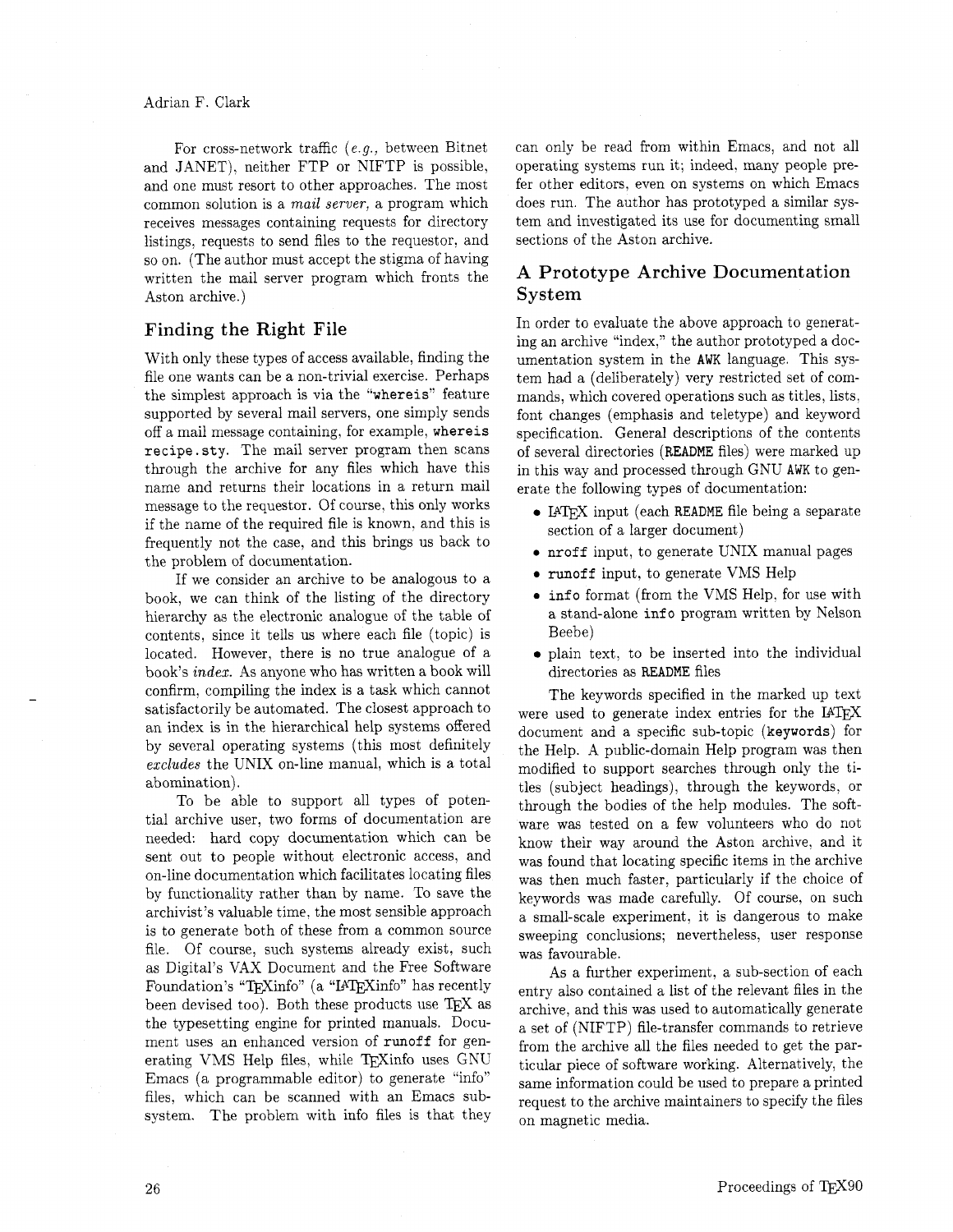For cross-network traffic (e.g., between Bitnet and JANET), neither FTP or NIFTP is possible. and one must resort to other approaches. The most common solution is a **mail** server, a program which receives messages containing requests for directory listings, requests to send files to the requestor, and so on. (The author must accept the stigma of having written the mail server program which fronts the Aston archive.)

### Finding the Right File

With only these types of access available, finding the file one wants can be a non-trivial exercise. Perhaps the simplest approach is via the "whereis" feature supported by several mail servers, one simply sends off a mail message containing, for example, whereis recipe.sty. The mail server program then scans through the archive for any files which have this name and returns their locations in a return mail message to the requestor. Of course, this only works if the name of the required file is known, and this is frequently not the case, and this brings us back to the problem of documentation.

If we consider an archive to be analogous to a book, we can think of the listing of the directory hierarchy as the electronic analogue of the table of contents, since it tells us where each file (topic) is located. However, there is no true analogue of a book's index. As anyone who has written a book will confirm, compiling the index is a task which cannot satisfactorily be automated. The closest approach to an index is in the hierarchical help systems offered by several operating systems (this most definitely excludes the UNIX on-line manual, which is a total abomination).

To be able to support all types of potential archive user, two forms of documentation are needed: hard copy documentation which can be sent out to people without electronic access, and on-line documentation which facilitates locating files by functionality rather than by name. To save the archivist's valuable time, the most sensible approach is to generate both of these from a common source file. Of course, such systems already exist, such as Digital's VAX Document and the Free Software Foundation's "TEXinfo" (a "IATEXinfo" has recently been devised too). Both these products use TEX as the typesetting engine for printed manuals. Document uses an enhanced version of runoff for generating VMS Help files, while TEXinfo uses GNU Emacs (a programmable editor) to generate "info" files. which can be scanned with an Emacs subsystem. The problem with info files is that they

can only be read from within Emacs, and not all operating systems run it; indeed. many people prefer other editors, even on systems on which Emacs does run. The author has prototyped a similar system and investigated its use for documenting small sections of the Aston archive.

# **A** Prototype Archive Documentation System

In order to evaluate the above approach to generating an archive "index," the author prototyped a documentation system in the AWK language. This system had a (deliberately) very restricted set of commands, which covered operations such as titles, lists. font changes (emphasis and teletype) and keyword specification. General descriptions of the contents of several directories **(README** files) were marked up in this way and processed through GNU AWK to generate the following types of documentation:

- I4QX input (each **README** file being a separate section of a larger document)
- **<sup>0</sup>**nroff input, to generate UNIX manual pages
- **0** runoff input, to generate VMS Help
- **<sup>0</sup>**info format (from the VMS Help, for use with a stand-alone info program written by Nelson Beebe)
- plain text, to be inserted into the individual directories as **README** files

The keywords specified in the marked up text were used to generate index entries for the  $IATFX$ document and a specific sub-topic (keywords) for the Help. A public-domain Help program was then modified to support searches through only the titles (subject headings), through the keywords, or through the bodies of the help modules. The software was tested on a few volunteers who do not know their way around the Aston archive. and it was found that locating specific items in the archive was then much faster. particularly if the choice of keywords was made carefully. Of course, on such a small-scale experiment, it is dangerous to make sweeping conclusions; nevertheless, user response was favourable.

As a further experiment, a sub-section of each entry also contained a list of the relevant files in the archive, and this was used to automatically generate a set of (NIFTP) file-transfer commands to retrieve from the archive all the files needed to get the particular piece of software working. Alternatively, the same information could be used to prepare a printed request to the archive maintainers to specify the files on magnetic media.